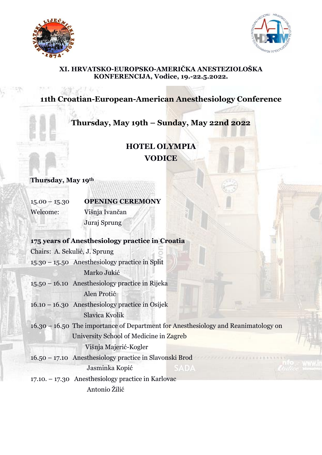



#### **XI. HRVATSKO-EUROPSKO-AMERIČKA ANESTEZIOLOŠKA KONFERENCIJA, Vodice, 19.-22.5.2022.**

## **11th Croatian-European-American Anesthesiology Conference**

### **Thursday, May 19th – Sunday, May 22nd 2022**

## **HOTEL OLYMPIA VODICE**

**Thursday, May 19th**

15.00 – 15.30 **OPENING CEREMONY** Welcome: Višnja Ivančan Juraj Sprung

#### **175 years of Anesthesiology practice in Croatia**

Chairs: A. Sekulić, J. Sprung 15.30 – 15.50 Anesthesiology practice in Split Marko Jukić 15.50 – 16.10 Anesthesiology practice in Rijeka Alen Protić 16.10 – 16.30 Anesthesiology practice in Osijek Slavica Kvolik 16.30 – 16.50 The importance of Department for Anesthesiology and Reanimatology on University School of Medicine in Zagreb Višnja Majerić-Kogler 16.50 – 17.10 Anesthesiology practice in Slavonski Brod Jasminka Kopić 17.10. – 17.30 Anesthesiology practice in Karlovac Antonio Žilić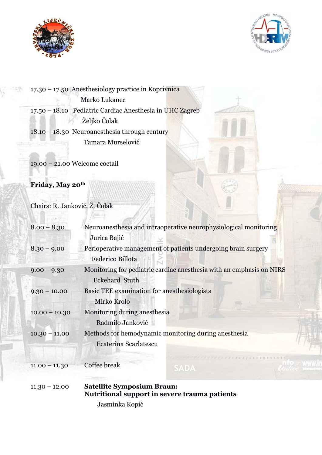



17.30 – 17.50 Anesthesiology practice in Koprivnica Marko Lukanec 17.50 – 18.10 Pediatric Cardiac Anesthesia in UHC Zagreb Željko Čolak 18.10 – 18.30 Neuroanesthesia through century Tamara Murselović

19.00 – 21.00 Welcome coctail

**Friday, May 20th**

Chairs: R. Janković, Ž. Čolak

| $8.00 - 8.30$   | Neuroanes the sia and intraoperative neurophysiological monitoring   |
|-----------------|----------------------------------------------------------------------|
|                 | Jurica Bajić                                                         |
| $8.30 - 9.00$   | Perioperative management of patients undergoing brain surgery        |
|                 | Federico Billota                                                     |
| $9.00 - 9.30$   | Monitoring for pediatric cardiac anesthesia with an emphasis on NIRS |
|                 | <b>Eckehard Stuth</b>                                                |
| $9.30 - 10.00$  | Basic TEE examination for anesthesiologists                          |
|                 | Mirko Krolo                                                          |
| $10.00 - 10.30$ | Monitoring during anesthesia                                         |
|                 | Radmilo Janković                                                     |
| $10.30 - 11.00$ | Methods for hemodynamic monitoring during anesthesia                 |
|                 | Ecaterina Scarlatescu                                                |
|                 | 2222233333333333333333                                               |
| $11.00 - 11.30$ | Coffee break<br>SADA                                                 |
|                 |                                                                      |
| $11.30 - 12.00$ | <b>Satellite Symposium Braun:</b>                                    |
|                 | Nutritional support in severe trauma patients                        |
|                 | Jasminka Kopić                                                       |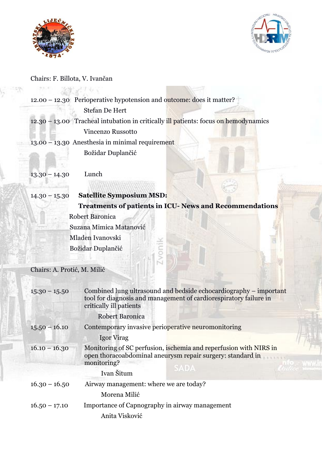



Chairs: F. Billota, V. Ivančan

|                             | $12.00 - 12.30$ Perioperative hypotension and outcome: does it matter?                                                                                            |
|-----------------------------|-------------------------------------------------------------------------------------------------------------------------------------------------------------------|
|                             | <b>Stefan De Hert</b>                                                                                                                                             |
|                             | 12.30 - 13.00 Tracheal intubation in critically ill patients: focus on hemodynamics                                                                               |
|                             | <b>Vincenzo Russotto</b>                                                                                                                                          |
|                             | $13.00 - 13.30$ Anesthesia in minimal requirement                                                                                                                 |
|                             | Božidar Duplančić                                                                                                                                                 |
|                             |                                                                                                                                                                   |
| $13.30 - 14.30$             | Lunch                                                                                                                                                             |
|                             |                                                                                                                                                                   |
| $14.30 - 15.30$             | <b>Satellite Symposium MSD:</b>                                                                                                                                   |
|                             | <b>Treatments of patients in ICU- News and Recommendations</b>                                                                                                    |
|                             | <b>Robert Baronica</b>                                                                                                                                            |
|                             | Suzana Mimica Matanović                                                                                                                                           |
|                             | Mladen Ivanovski                                                                                                                                                  |
|                             | <b>LVonil</b><br>Božidar Duplančić                                                                                                                                |
|                             |                                                                                                                                                                   |
| Chairs: A. Protić, M. Milić |                                                                                                                                                                   |
|                             |                                                                                                                                                                   |
| $15.30 - 15.50$             | Combined lung ultrasound and bedside echocardiography – important<br>tool for diagnosis and management of cardiorespiratory failure in<br>critically ill patients |
|                             | <b>Robert Baronica</b>                                                                                                                                            |
| $15.50 - 16.10$             | Contemporary invasive perioperative neuromonitoring                                                                                                               |
|                             | Igor Virag                                                                                                                                                        |
| $16.10 - 16.30$             | Monitoring of SC perfusion, ischemia and reperfusion with NIRS in<br>open thoracoabdominal aneurysm repair surgery: standard in<br>monitoring?<br><b>SADA</b>     |
|                             | Ivan Šitum                                                                                                                                                        |
| $16.30 - 16.50$             | Airway management: where we are today?                                                                                                                            |
|                             | Morena Milić                                                                                                                                                      |
| $16.50 - 17.10$             | Importance of Capnography in airway management                                                                                                                    |
|                             | Anita Visković                                                                                                                                                    |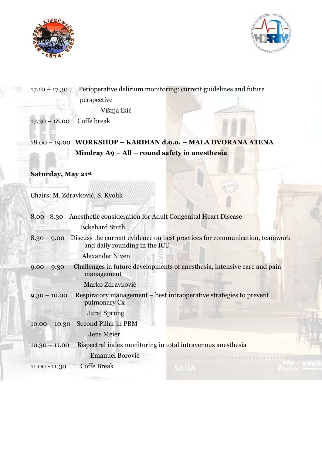



# Višnja Ikić 17.30 – 18.00 Coffe break 18.00 – 19.00 **WORKSHOP – KARDIAN d.o.o. – MALA DVORANA ATENA Mindray A9 – All – round safety in anesthesia Saturday, May 21st** Chairs: M. Zdravković, S. Kvolik 8.00 –8.30 Anesthetic consideration for Adult Congenital Heart Disease Eckehard Stuth 8.30 – 9.00 Discuss the current evidence on best practices for communication, teamwork and daily rounding in the ICU Alexander Niven 9.00 – 9.30 Challenges in future developments of anesthesia, intensive care and pain management Marko Zdravković 9.30 – 10.00 Respiratory management – best intraoperative strategies to prevent pulmonary Cx Juraj Sprung 10.00 – 10.30 Second Pillar in PBM Jens Meier 10.30 – 11.00 Bispectral index monitoring in total intravenous anesthesia Emanuel Borović 11.00 - 11.30 Coffe Break

17.10 – 17.30 Perioperative delirium monitoring: current guidelines and future

perspective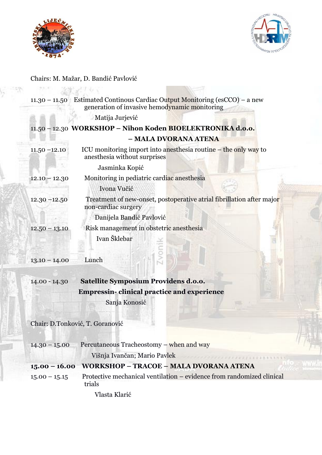



## Chairs: M. Mažar, D. Bandić Pavlović

|                 | $11.30 - 11.50$ Estimated Continous Cardiac Output Monitoring (esCCO) – a new<br>generation of invasive hemodynamic monitoring |
|-----------------|--------------------------------------------------------------------------------------------------------------------------------|
|                 | Matija Jurjević                                                                                                                |
|                 | 11.50 - 12.30 WORKSHOP - Nihon Koden BIOELEKTRONIKA d.o.o.                                                                     |
|                 | - MALA DVORANA ATENA                                                                                                           |
| $11.50 - 12.10$ | ICU monitoring import into an esthesia routine $-$ the only way to<br>anesthesia without surprises                             |
|                 | Jasminka Kopić                                                                                                                 |
| $12.10 - 12.30$ | Monitoring in pediatric cardiac anesthesia                                                                                     |
|                 | Ivona Vučić                                                                                                                    |
| $12.30 - 12.50$ | Treatment of new-onset, postoperative atrial fibrillation after major<br>non-cardiac surgery                                   |
|                 | Danijela Bandić Pavlović                                                                                                       |
| $12.50 - 13.10$ | Risk management in obstetric anesthesia                                                                                        |
|                 | Ivan Šklebar                                                                                                                   |
|                 |                                                                                                                                |
| $13.10 - 14.00$ | Lunch                                                                                                                          |
| $14.00 - 14.30$ | <b>Satellite Symposium Providens d.o.o.</b>                                                                                    |
|                 | <b>Empressin-clinical practice and experience</b>                                                                              |
|                 | Sanja Konosić                                                                                                                  |
|                 | Chair: D.Tonković, T. Goranović                                                                                                |
| $14.30 - 15.00$ | Percutaneous Tracheostomy – when and way                                                                                       |
|                 | Višnja Ivančan; Mario Pavlek                                                                                                   |
| $15.00 - 16.00$ | WORKSHOP - TRACOE - MALA DVORANA ATENA                                                                                         |
| $15.00 - 15.15$ | Protective mechanical ventilation – evidence from randomized clinical<br>trials                                                |
|                 | Vlasta Klarić                                                                                                                  |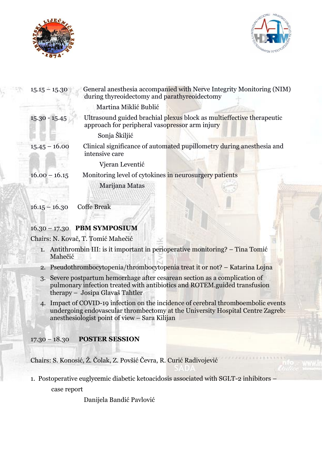



| $15.15 - 15.30$ | General anesthesia accompanied with Nerve Integrity Monitoring (NIM)<br>during thyreoidectomy and parathyreoidectomy    |
|-----------------|-------------------------------------------------------------------------------------------------------------------------|
|                 | Martina Miklić Bublić                                                                                                   |
| $15.30 - 15.45$ | Ultrasound guided brachial plexus block as multieffective therapeutic<br>approach for peripheral vasopressor arm injury |
|                 | Sonja Škiljić                                                                                                           |
| $15.45 - 16.00$ | Clinical significance of automated pupillometry during anesthesia and<br>intensive care                                 |
|                 | Vjeran Leventić                                                                                                         |
| $16.00 - 16.15$ | Monitoring level of cytokines in neurosurgery patients                                                                  |
|                 | Marijana Matas                                                                                                          |
| $16.15 - 16.30$ | <b>Coffe Break</b>                                                                                                      |

16.30 – 17.30 **PBM SYMPOSIUM**

Chairs: N. Kovač, T. Tomić Mahečić

- 1. Antithrombin III: is it important in perioperative monitoring? Tina Tomić Mahečić
- 2. Pseudothrombocytopenia/thrombocytopenia treat it or not? Katarina Lojna
- 3. Severe postpartum hemorrhage after cesarean section as a complication of pulmonary infection treated with antibiotics and ROTEM.guided transfusion therapy – Josipa Glavaš Tahtler
- 4. Impact of COVID-19 infection on the incidence of cerebral thromboembolic events undergoing endovascular thrombectomy at the University Hospital Centre Zagreb: anesthesiologist point of view – Sara Kilijan

### 17.30 – 18.30 **POSTER SESSION**

Chairs: S. Konosić, Ž. Čolak, Z. Povšić Čevra, R. Curić Radivojević

1. Postoperative euglycemic diabetic ketoacidosis associated with SGLT-2 inhibitors –

case report

Danijela Bandić Pavlović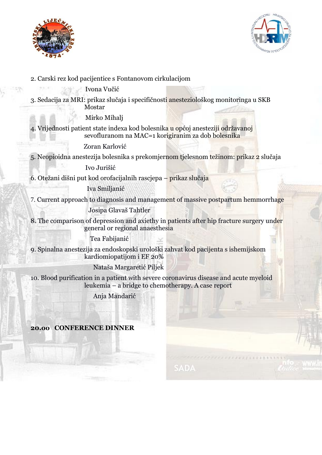



2. Carski rez kod pacijentice s Fontanovom cirkulacijom

Ivona Vučić

3. Sedacija za MRI: prikaz slučaja i specifičnosti anesteziološkog monitoringa u SKB Mostar

Mirko Mihalj

4. Vrijednosti patient state indexa kod bolesnika u općoj anesteziji održavanoj

sevofluranom na MAC=1 korigiranim za dob bolesnika

Zoran Karlović

5. Neopioidna anestezija bolesnika s prekomjernom tjelesnom težinom: prikaz 2 slučaja

Ivo Jurišić

6. Otežani dišni put kod orofacijalnih rascjepa – prikaz slučaja

### Iva Smiljanić

7. Current approach to diagnosis and management of massive postpartum hemmorrhage

Josipa Glavaš Tahtler

8. The comparison of depression and axiethy in patients after hip fracture surgery under general or regional anaesthesia

Tea Fabijanić

9. Spinalna anestezija za endoskopski urološki zahvat kod pacijenta s ishemijskom kardiomiopatijom i EF 20%

Nataša Margaretić Piljek

10. Blood purification in a patient with severe coronavirus disease and acute myeloid leukemia – a bridge to chemotherapy. A case report

Anja Mandarić

**20.oo CONFERENCE DINNER**